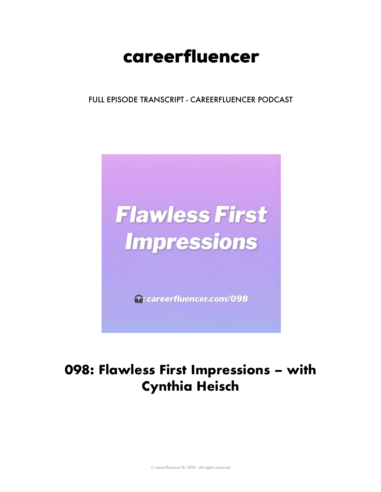# careerfluencer

FULL EPISODE TRANSCRIPT - CAREERFLUENCER PODCAST



M: careerfluencer.com/098

# 098: Flawless First Impressions - with **Cynthia Heisch**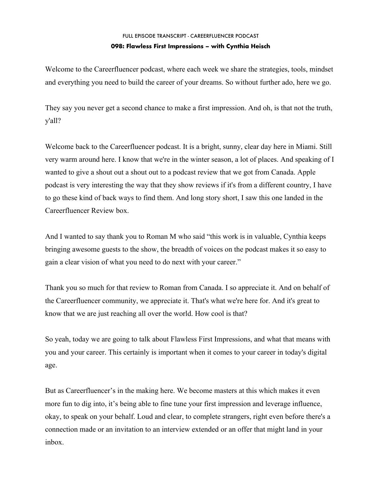## FULL EPISODE TRANSCRIPT - CAREERFLUENCER PODCAST **098: Flawless First Impressions – with Cynthia Heisch**

Welcome to the Careerfluencer podcast, where each week we share the strategies, tools, mindset and everything you need to build the career of your dreams. So without further ado, here we go.

They say you never get a second chance to make a first impression. And oh, is that not the truth, y'all?

Welcome back to the Careerfluencer podcast. It is a bright, sunny, clear day here in Miami. Still very warm around here. I know that we're in the winter season, a lot of places. And speaking of I wanted to give a shout out a shout out to a podcast review that we got from Canada. Apple podcast is very interesting the way that they show reviews if it's from a different country, I have to go these kind of back ways to find them. And long story short, I saw this one landed in the Careerfluencer Review box.

And I wanted to say thank you to Roman M who said "this work is in valuable, Cynthia keeps bringing awesome guests to the show, the breadth of voices on the podcast makes it so easy to gain a clear vision of what you need to do next with your career."

Thank you so much for that review to Roman from Canada. I so appreciate it. And on behalf of the Careerfluencer community, we appreciate it. That's what we're here for. And it's great to know that we are just reaching all over the world. How cool is that?

So yeah, today we are going to talk about Flawless First Impressions, and what that means with you and your career. This certainly is important when it comes to your career in today's digital age.

But as Careerfluencer's in the making here. We become masters at this which makes it even more fun to dig into, it's being able to fine tune your first impression and leverage influence, okay, to speak on your behalf. Loud and clear, to complete strangers, right even before there's a connection made or an invitation to an interview extended or an offer that might land in your inbox.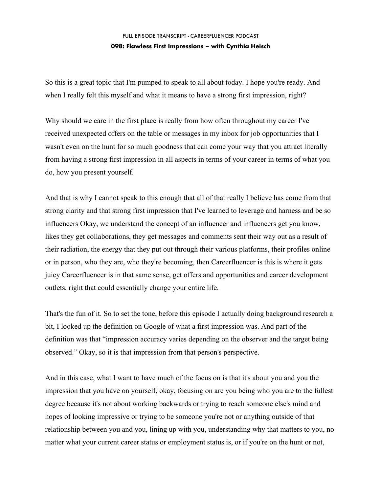### FULL EPISODE TRANSCRIPT - CAREERFLUENCER PODCAST **098: Flawless First Impressions – with Cynthia Heisch**

So this is a great topic that I'm pumped to speak to all about today. I hope you're ready. And when I really felt this myself and what it means to have a strong first impression, right?

Why should we care in the first place is really from how often throughout my career I've received unexpected offers on the table or messages in my inbox for job opportunities that I wasn't even on the hunt for so much goodness that can come your way that you attract literally from having a strong first impression in all aspects in terms of your career in terms of what you do, how you present yourself.

And that is why I cannot speak to this enough that all of that really I believe has come from that strong clarity and that strong first impression that I've learned to leverage and harness and be so influencers Okay, we understand the concept of an influencer and influencers get you know, likes they get collaborations, they get messages and comments sent their way out as a result of their radiation, the energy that they put out through their various platforms, their profiles online or in person, who they are, who they're becoming, then Careerfluencer is this is where it gets juicy Careerfluencer is in that same sense, get offers and opportunities and career development outlets, right that could essentially change your entire life.

That's the fun of it. So to set the tone, before this episode I actually doing background research a bit, I looked up the definition on Google of what a first impression was. And part of the definition was that "impression accuracy varies depending on the observer and the target being observed." Okay, so it is that impression from that person's perspective.

And in this case, what I want to have much of the focus on is that it's about you and you the impression that you have on yourself, okay, focusing on are you being who you are to the fullest degree because it's not about working backwards or trying to reach someone else's mind and hopes of looking impressive or trying to be someone you're not or anything outside of that relationship between you and you, lining up with you, understanding why that matters to you, no matter what your current career status or employment status is, or if you're on the hunt or not,